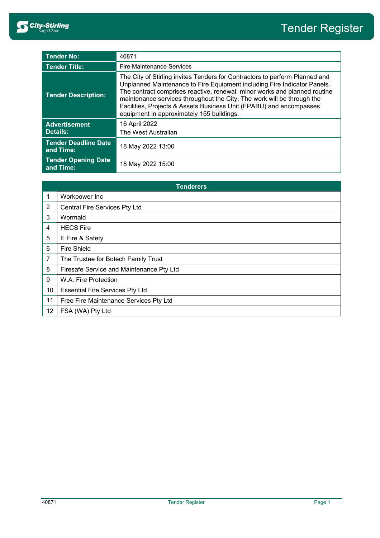| <b>Tender No:</b>                        | 40871                                                                                                                                                                                                                                                                                                                                                                                                                              |  |
|------------------------------------------|------------------------------------------------------------------------------------------------------------------------------------------------------------------------------------------------------------------------------------------------------------------------------------------------------------------------------------------------------------------------------------------------------------------------------------|--|
| <b>Tender Title:</b>                     | <b>Fire Maintenance Services</b>                                                                                                                                                                                                                                                                                                                                                                                                   |  |
| <b>Tender Description:</b>               | The City of Stirling invites Tenders for Contractors to perform Planned and<br>Unplanned Maintenance to Fire Equipment including Fire Indicator Panels.<br>The contract comprises reactive, renewal, minor works and planned routine<br>maintenance services throughout the City. The work will be through the<br>Facilities, Projects & Assets Business Unit (FPABU) and encompasses<br>equipment in approximately 155 buildings. |  |
| <b>Advertisement</b><br>Details:         | 16 April 2022<br>The West Australian                                                                                                                                                                                                                                                                                                                                                                                               |  |
| <b>Tender Deadline Date</b><br>and Time: | 18 May 2022 13:00                                                                                                                                                                                                                                                                                                                                                                                                                  |  |
| <b>Tender Opening Date</b><br>and Time:  | 18 May 2022 15:00                                                                                                                                                                                                                                                                                                                                                                                                                  |  |

| <b>Tenderers</b> |                                          |  |
|------------------|------------------------------------------|--|
|                  | Workpower Inc                            |  |
| $\overline{2}$   | Central Fire Services Pty Ltd            |  |
| 3                | Wormald                                  |  |
| 4                | <b>HECS Fire</b>                         |  |
| 5                | E Fire & Safety                          |  |
| 6                | <b>Fire Shield</b>                       |  |
| 7                | The Trustee for Botech Family Trust      |  |
| 8                | Firesafe Service and Maintenance Pty Ltd |  |
| 9                | W.A. Fire Protection                     |  |
| 10               | <b>Essential Fire Services Pty Ltd</b>   |  |
| 11               | Freo Fire Maintenance Services Pty Ltd   |  |
| 12               | FSA (WA) Pty Ltd                         |  |